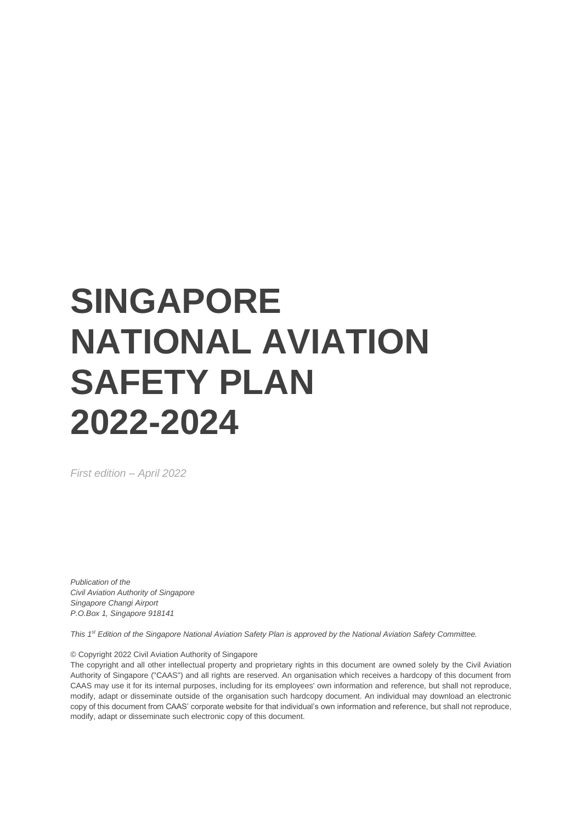# **SINGAPORE NATIONAL AVIATION SAFETY PLAN 2022-2024**

*First edition – April 2022*

*Publication of the Civil Aviation Authority of Singapore Singapore Changi Airport P.O.Box 1, Singapore 918141*

*This 1st Edition of the Singapore National Aviation Safety Plan is approved by the National Aviation Safety Committee.*

#### © Copyright 2022 Civil Aviation Authority of Singapore

The copyright and all other intellectual property and proprietary rights in this document are owned solely by the Civil Aviation Authority of Singapore ("CAAS") and all rights are reserved. An organisation which receives a hardcopy of this document from CAAS may use it for its internal purposes, including for its employees' own information and reference, but shall not reproduce, modify, adapt or disseminate outside of the organisation such hardcopy document. An individual may download an electronic copy of this document from CAAS' corporate website for that individual's own information and reference, but shall not reproduce, modify, adapt or disseminate such electronic copy of this document.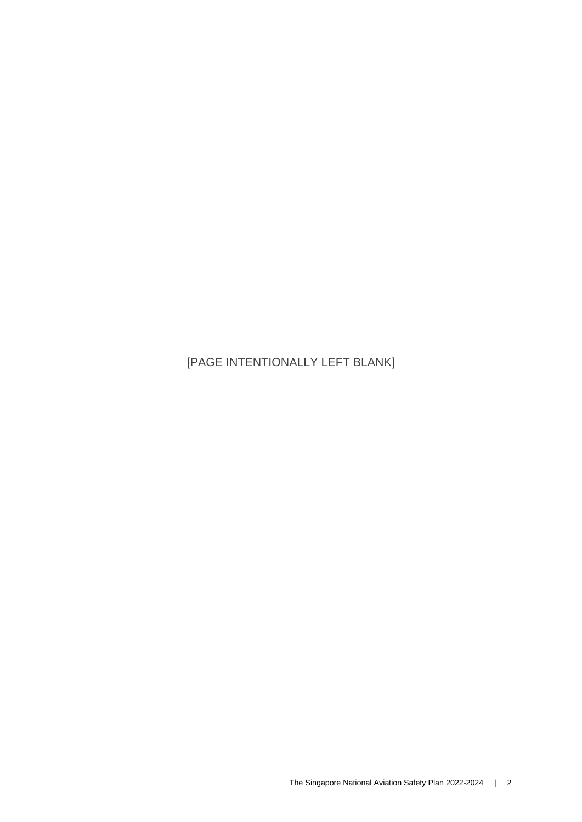[PAGE INTENTIONALLY LEFT BLANK]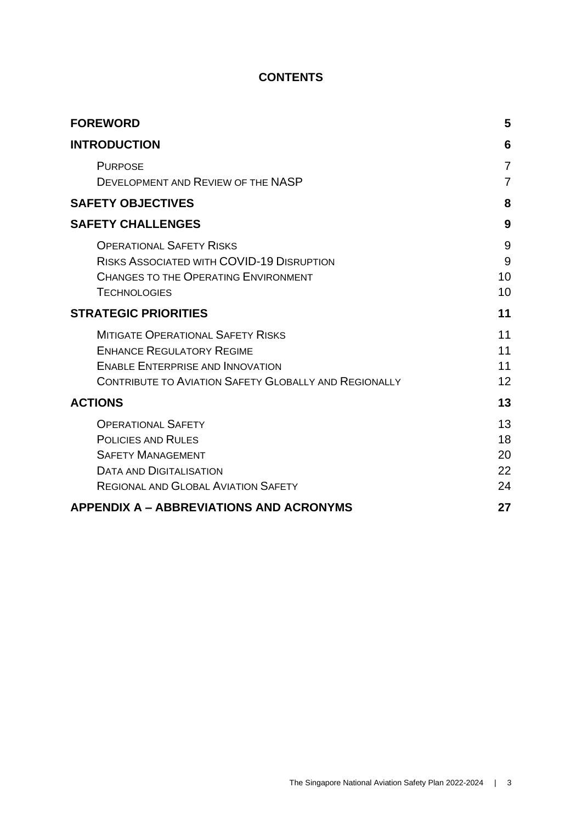#### **CONTENTS**

| <b>FOREWORD</b>                                                                                                                                                                         | 5                                |
|-----------------------------------------------------------------------------------------------------------------------------------------------------------------------------------------|----------------------------------|
| <b>INTRODUCTION</b>                                                                                                                                                                     | 6                                |
| <b>PURPOSE</b><br>DEVELOPMENT AND REVIEW OF THE NASP                                                                                                                                    | $\overline{7}$<br>$\overline{7}$ |
| <b>SAFETY OBJECTIVES</b>                                                                                                                                                                | 8                                |
| <b>SAFETY CHALLENGES</b>                                                                                                                                                                | 9                                |
| <b>OPERATIONAL SAFETY RISKS</b><br>RISKS ASSOCIATED WITH COVID-19 DISRUPTION<br><b>CHANGES TO THE OPERATING ENVIRONMENT</b><br><b>TECHNOLOGIES</b>                                      | 9<br>9<br>10<br>10               |
| <b>STRATEGIC PRIORITIES</b>                                                                                                                                                             | 11                               |
| <b>MITIGATE OPERATIONAL SAFETY RISKS</b><br><b>ENHANCE REGULATORY REGIME</b><br><b>ENABLE ENTERPRISE AND INNOVATION</b><br><b>CONTRIBUTE TO AVIATION SAFETY GLOBALLY AND REGIONALLY</b> | 11<br>11<br>11<br>12             |
| <b>ACTIONS</b>                                                                                                                                                                          | 13                               |
| <b>OPERATIONAL SAFETY</b><br><b>POLICIES AND RULES</b><br><b>SAFETY MANAGEMENT</b><br><b>DATA AND DIGITALISATION</b><br><b>REGIONAL AND GLOBAL AVIATION SAFETY</b>                      | 13<br>18<br>20<br>22<br>24       |
| <b>APPENDIX A - ABBREVIATIONS AND ACRONYMS</b>                                                                                                                                          | 27                               |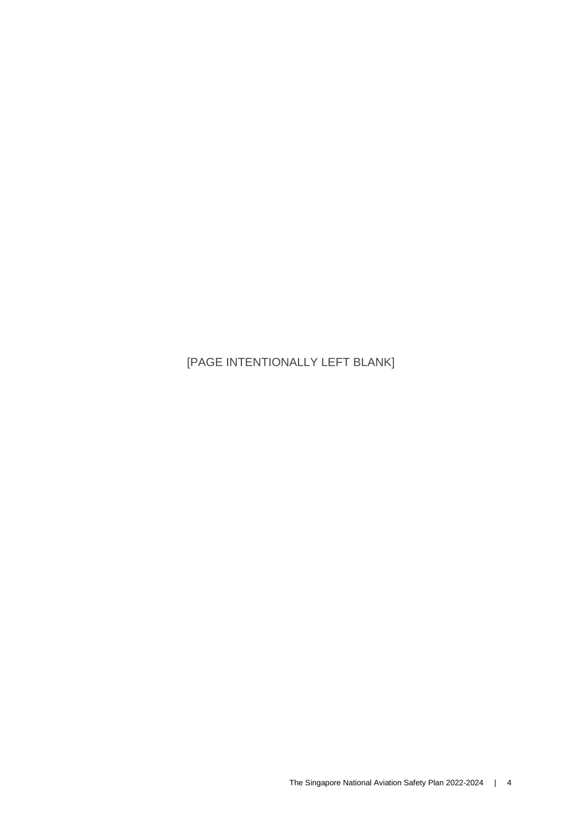[PAGE INTENTIONALLY LEFT BLANK]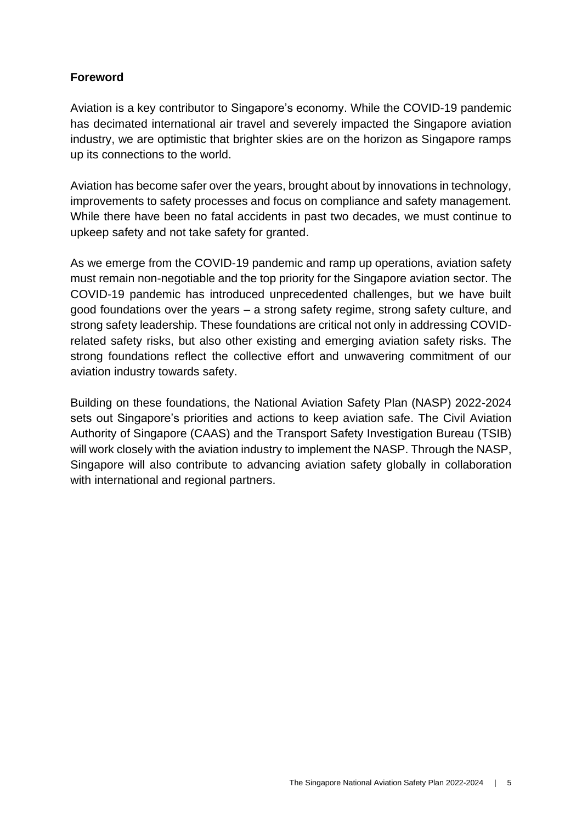### <span id="page-4-0"></span>**Foreword**

Aviation is a key contributor to Singapore's economy. While the COVID-19 pandemic has decimated international air travel and severely impacted the Singapore aviation industry, we are optimistic that brighter skies are on the horizon as Singapore ramps up its connections to the world.

Aviation has become safer over the years, brought about by innovations in technology, improvements to safety processes and focus on compliance and safety management. While there have been no fatal accidents in past two decades, we must continue to upkeep safety and not take safety for granted.

As we emerge from the COVID-19 pandemic and ramp up operations, aviation safety must remain non-negotiable and the top priority for the Singapore aviation sector. The COVID-19 pandemic has introduced unprecedented challenges, but we have built good foundations over the years – a strong safety regime, strong safety culture, and strong safety leadership. These foundations are critical not only in addressing COVIDrelated safety risks, but also other existing and emerging aviation safety risks. The strong foundations reflect the collective effort and unwavering commitment of our aviation industry towards safety.

Building on these foundations, the National Aviation Safety Plan (NASP) 2022-2024 sets out Singapore's priorities and actions to keep aviation safe. The Civil Aviation Authority of Singapore (CAAS) and the Transport Safety Investigation Bureau (TSIB) will work closely with the aviation industry to implement the NASP. Through the NASP, Singapore will also contribute to advancing aviation safety globally in collaboration with international and regional partners.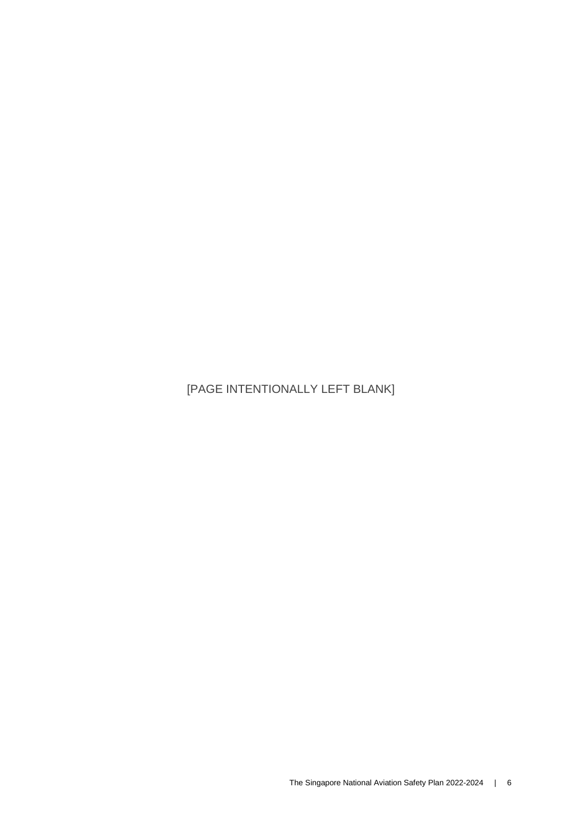<span id="page-5-0"></span>[PAGE INTENTIONALLY LEFT BLANK]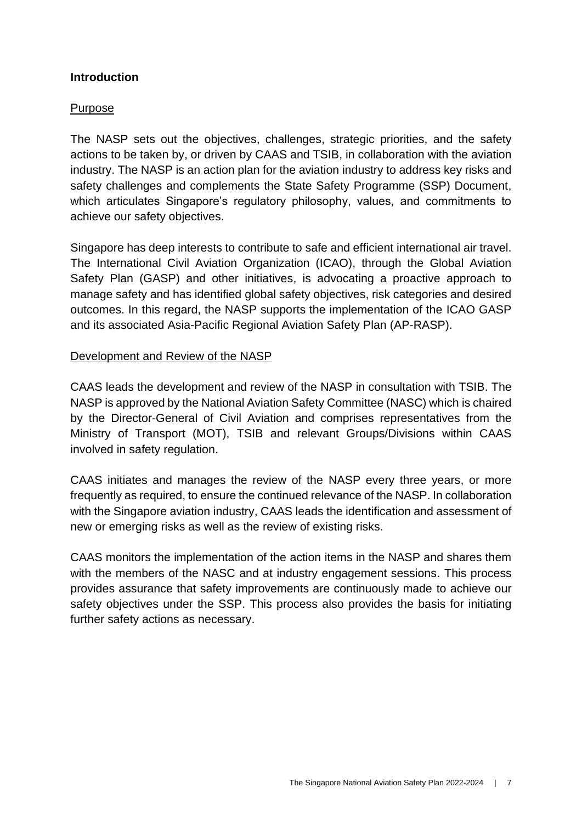#### **Introduction**

#### <span id="page-6-0"></span>Purpose

The NASP sets out the objectives, challenges, strategic priorities, and the safety actions to be taken by, or driven by CAAS and TSIB, in collaboration with the aviation industry. The NASP is an action plan for the aviation industry to address key risks and safety challenges and complements the State Safety Programme (SSP) Document, which articulates Singapore's regulatory philosophy, values, and commitments to achieve our safety objectives.

Singapore has deep interests to contribute to safe and efficient international air travel. The International Civil Aviation Organization (ICAO), through the Global Aviation Safety Plan (GASP) and other initiatives, is advocating a proactive approach to manage safety and has identified global safety objectives, risk categories and desired outcomes. In this regard, the NASP supports the implementation of the ICAO GASP and its associated Asia-Pacific Regional Aviation Safety Plan (AP-RASP).

#### <span id="page-6-1"></span>Development and Review of the NASP

CAAS leads the development and review of the NASP in consultation with TSIB. The NASP is approved by the National Aviation Safety Committee (NASC) which is chaired by the Director-General of Civil Aviation and comprises representatives from the Ministry of Transport (MOT), TSIB and relevant Groups/Divisions within CAAS involved in safety regulation.

CAAS initiates and manages the review of the NASP every three years, or more frequently as required, to ensure the continued relevance of the NASP. In collaboration with the Singapore aviation industry, CAAS leads the identification and assessment of new or emerging risks as well as the review of existing risks.

CAAS monitors the implementation of the action items in the NASP and shares them with the members of the NASC and at industry engagement sessions. This process provides assurance that safety improvements are continuously made to achieve our safety objectives under the SSP. This process also provides the basis for initiating further safety actions as necessary.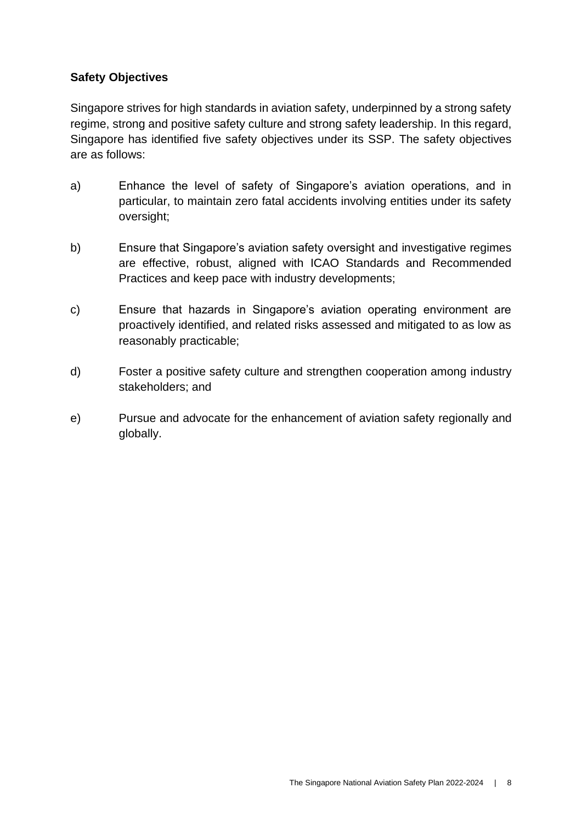#### <span id="page-7-0"></span>**Safety Objectives**

Singapore strives for high standards in aviation safety, underpinned by a strong safety regime, strong and positive safety culture and strong safety leadership. In this regard, Singapore has identified five safety objectives under its SSP. The safety objectives are as follows:

- a) Enhance the level of safety of Singapore's aviation operations, and in particular, to maintain zero fatal accidents involving entities under its safety oversight;
- b) Ensure that Singapore's aviation safety oversight and investigative regimes are effective, robust, aligned with ICAO Standards and Recommended Practices and keep pace with industry developments;
- c) Ensure that hazards in Singapore's aviation operating environment are proactively identified, and related risks assessed and mitigated to as low as reasonably practicable;
- d) Foster a positive safety culture and strengthen cooperation among industry stakeholders; and
- e) Pursue and advocate for the enhancement of aviation safety regionally and globally.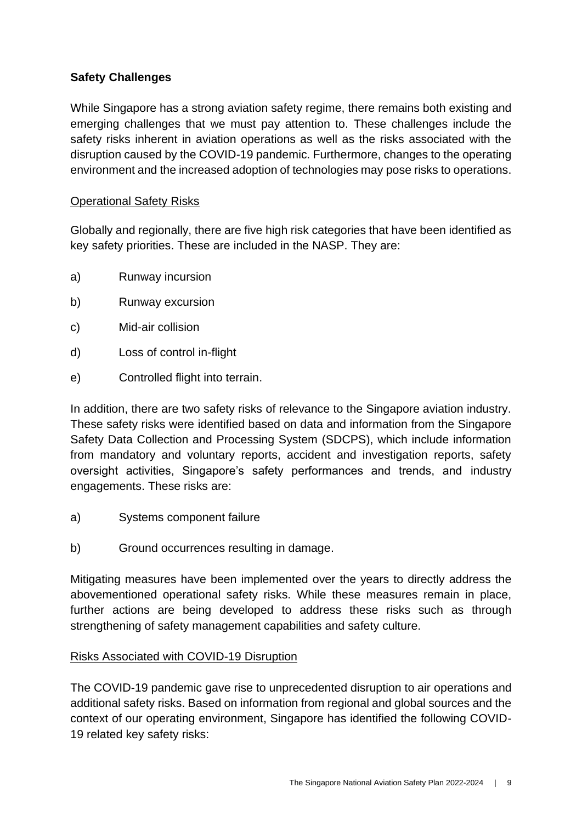#### <span id="page-8-0"></span>**Safety Challenges**

While Singapore has a strong aviation safety regime, there remains both existing and emerging challenges that we must pay attention to. These challenges include the safety risks inherent in aviation operations as well as the risks associated with the disruption caused by the COVID-19 pandemic. Furthermore, changes to the operating environment and the increased adoption of technologies may pose risks to operations.

#### <span id="page-8-1"></span>Operational Safety Risks

Globally and regionally, there are five high risk categories that have been identified as key safety priorities. These are included in the NASP. They are:

- a) Runway incursion
- b) Runway excursion
- c) Mid-air collision
- d) Loss of control in-flight
- e) Controlled flight into terrain.

In addition, there are two safety risks of relevance to the Singapore aviation industry. These safety risks were identified based on data and information from the Singapore Safety Data Collection and Processing System (SDCPS), which include information from mandatory and voluntary reports, accident and investigation reports, safety oversight activities, Singapore's safety performances and trends, and industry engagements. These risks are:

- a) Systems component failure
- b) Ground occurrences resulting in damage.

Mitigating measures have been implemented over the years to directly address the abovementioned operational safety risks. While these measures remain in place, further actions are being developed to address these risks such as through strengthening of safety management capabilities and safety culture.

#### <span id="page-8-2"></span>Risks Associated with COVID-19 Disruption

The COVID-19 pandemic gave rise to unprecedented disruption to air operations and additional safety risks. Based on information from regional and global sources and the context of our operating environment, Singapore has identified the following COVID-19 related key safety risks: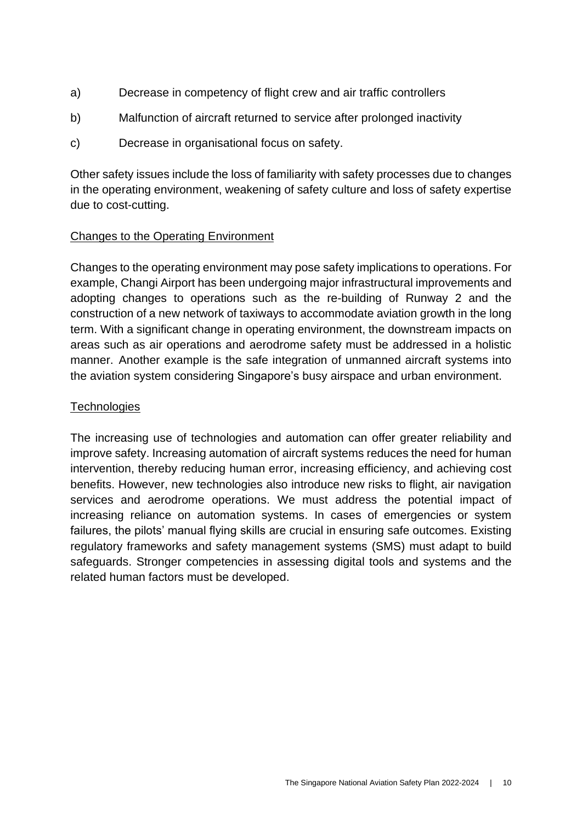- a) Decrease in competency of flight crew and air traffic controllers
- b) Malfunction of aircraft returned to service after prolonged inactivity
- c) Decrease in organisational focus on safety.

Other safety issues include the loss of familiarity with safety processes due to changes in the operating environment, weakening of safety culture and loss of safety expertise due to cost-cutting.

#### <span id="page-9-0"></span>Changes to the Operating Environment

Changes to the operating environment may pose safety implications to operations. For example, Changi Airport has been undergoing major infrastructural improvements and adopting changes to operations such as the re-building of Runway 2 and the construction of a new network of taxiways to accommodate aviation growth in the long term. With a significant change in operating environment, the downstream impacts on areas such as air operations and aerodrome safety must be addressed in a holistic manner. Another example is the safe integration of unmanned aircraft systems into the aviation system considering Singapore's busy airspace and urban environment.

#### <span id="page-9-1"></span>**Technologies**

The increasing use of technologies and automation can offer greater reliability and improve safety. Increasing automation of aircraft systems reduces the need for human intervention, thereby reducing human error, increasing efficiency, and achieving cost benefits. However, new technologies also introduce new risks to flight, air navigation services and aerodrome operations. We must address the potential impact of increasing reliance on automation systems. In cases of emergencies or system failures, the pilots' manual flying skills are crucial in ensuring safe outcomes. Existing regulatory frameworks and safety management systems (SMS) must adapt to build safeguards. Stronger competencies in assessing digital tools and systems and the related human factors must be developed.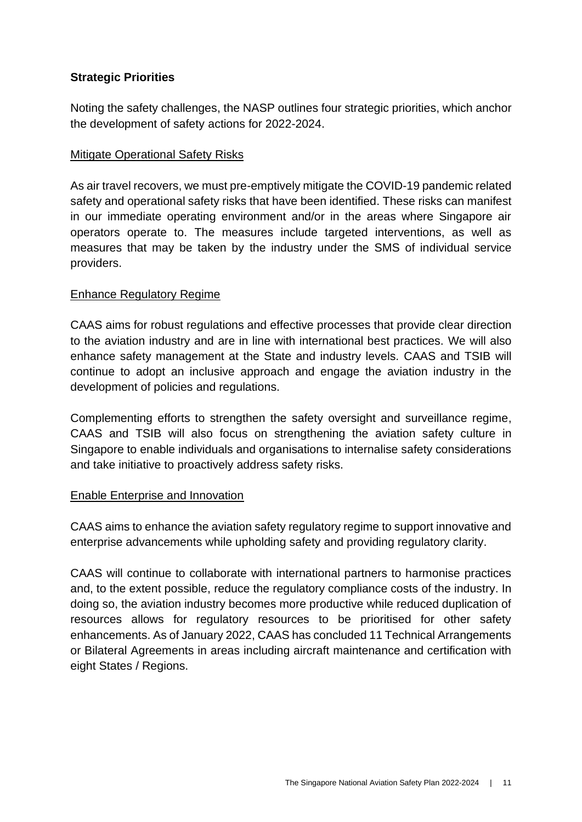#### <span id="page-10-0"></span>**Strategic Priorities**

Noting the safety challenges, the NASP outlines four strategic priorities, which anchor the development of safety actions for 2022-2024.

#### <span id="page-10-1"></span>Mitigate Operational Safety Risks

As air travel recovers, we must pre-emptively mitigate the COVID-19 pandemic related safety and operational safety risks that have been identified. These risks can manifest in our immediate operating environment and/or in the areas where Singapore air operators operate to. The measures include targeted interventions, as well as measures that may be taken by the industry under the SMS of individual service providers.

#### <span id="page-10-2"></span>Enhance Regulatory Regime

CAAS aims for robust regulations and effective processes that provide clear direction to the aviation industry and are in line with international best practices. We will also enhance safety management at the State and industry levels. CAAS and TSIB will continue to adopt an inclusive approach and engage the aviation industry in the development of policies and regulations.

Complementing efforts to strengthen the safety oversight and surveillance regime, CAAS and TSIB will also focus on strengthening the aviation safety culture in Singapore to enable individuals and organisations to internalise safety considerations and take initiative to proactively address safety risks.

#### <span id="page-10-3"></span>Enable Enterprise and Innovation

CAAS aims to enhance the aviation safety regulatory regime to support innovative and enterprise advancements while upholding safety and providing regulatory clarity.

<span id="page-10-4"></span>CAAS will continue to collaborate with international partners to harmonise practices and, to the extent possible, reduce the regulatory compliance costs of the industry. In doing so, the aviation industry becomes more productive while reduced duplication of resources allows for regulatory resources to be prioritised for other safety enhancements. As of January 2022, CAAS has concluded 11 Technical Arrangements or Bilateral Agreements in areas including aircraft maintenance and certification with eight States / Regions.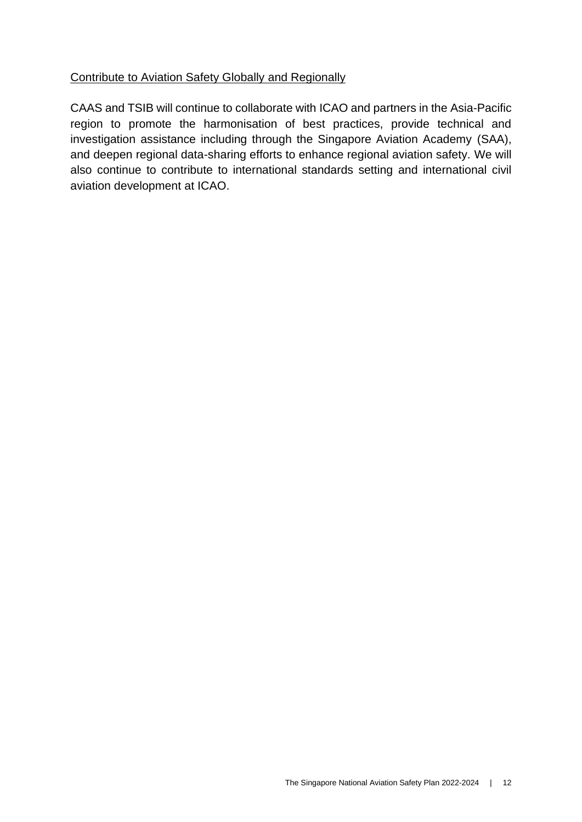#### Contribute to Aviation Safety Globally and Regionally

CAAS and TSIB will continue to collaborate with ICAO and partners in the Asia-Pacific region to promote the harmonisation of best practices, provide technical and investigation assistance including through the Singapore Aviation Academy (SAA), and deepen regional data-sharing efforts to enhance regional aviation safety. We will also continue to contribute to international standards setting and international civil aviation development at ICAO.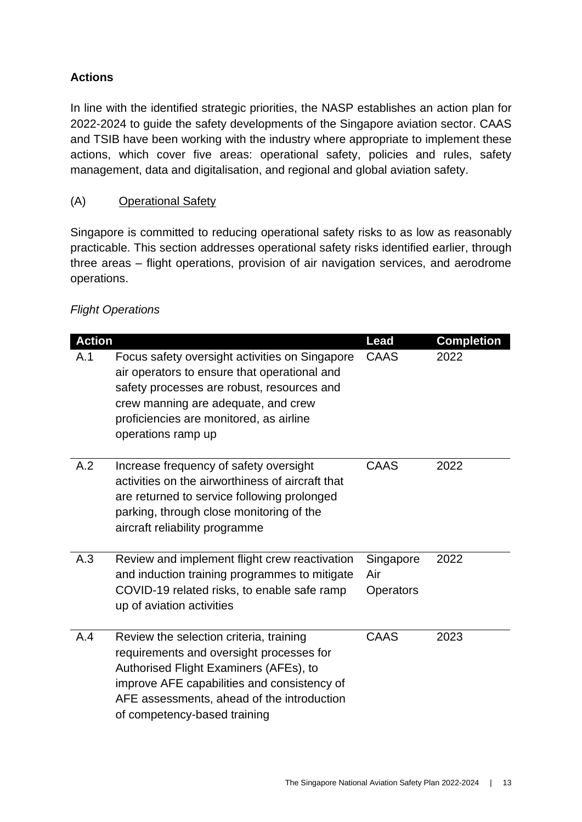## <span id="page-12-0"></span>**Actions**

In line with the identified strategic priorities, the NASP establishes an action plan for 2022-2024 to guide the safety developments of the Singapore aviation sector. CAAS and TSIB have been working with the industry where appropriate to implement these actions, which cover five areas: operational safety, policies and rules, safety management, data and digitalisation, and regional and global aviation safety.

#### <span id="page-12-1"></span>(A) Operational Safety

Singapore is committed to reducing operational safety risks to as low as reasonably practicable. This section addresses operational safety risks identified earlier, through three areas – flight operations, provision of air navigation services, and aerodrome operations.

#### *Flight Operations*

| <b>Action</b> |                                                                                                                                                                                                                                                            | <b>Lead</b>                   | <b>Completion</b> |
|---------------|------------------------------------------------------------------------------------------------------------------------------------------------------------------------------------------------------------------------------------------------------------|-------------------------------|-------------------|
| A.1           | Focus safety oversight activities on Singapore<br>air operators to ensure that operational and<br>safety processes are robust, resources and<br>crew manning are adequate, and crew<br>proficiencies are monitored, as airline<br>operations ramp up       | CAAS                          | 2022              |
| A.2           | Increase frequency of safety oversight<br>activities on the airworthiness of aircraft that<br>are returned to service following prolonged<br>parking, through close monitoring of the<br>aircraft reliability programme                                    | CAAS                          | 2022              |
| A.3           | Review and implement flight crew reactivation<br>and induction training programmes to mitigate<br>COVID-19 related risks, to enable safe ramp<br>up of aviation activities                                                                                 | Singapore<br>Air<br>Operators | 2022              |
| A.4           | Review the selection criteria, training<br>requirements and oversight processes for<br>Authorised Flight Examiners (AFEs), to<br>improve AFE capabilities and consistency of<br>AFE assessments, ahead of the introduction<br>of competency-based training | CAAS                          | 2023              |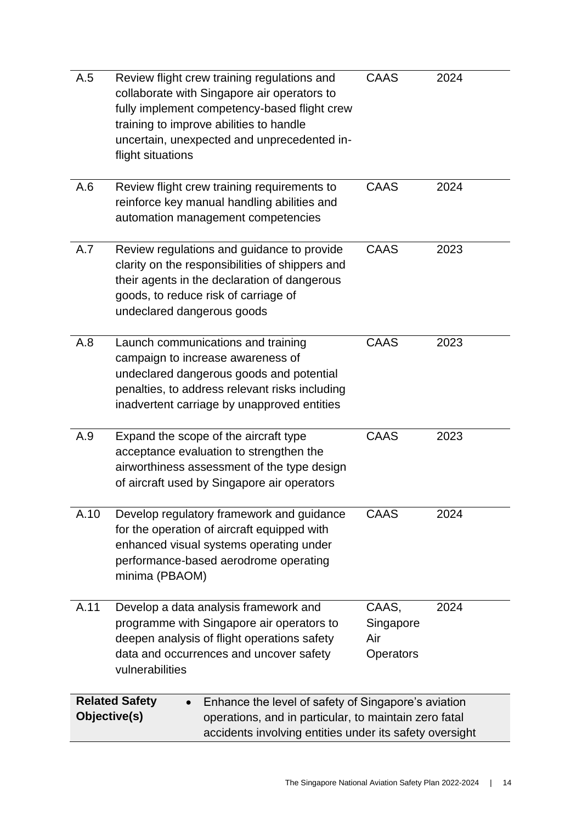| A.5                                                                                                                                                                                                              | Review flight crew training regulations and<br>collaborate with Singapore air operators to<br>fully implement competency-based flight crew<br>training to improve abilities to handle<br>uncertain, unexpected and unprecedented in-<br>flight situations | <b>CAAS</b>                                   | 2024 |
|------------------------------------------------------------------------------------------------------------------------------------------------------------------------------------------------------------------|-----------------------------------------------------------------------------------------------------------------------------------------------------------------------------------------------------------------------------------------------------------|-----------------------------------------------|------|
| A.6                                                                                                                                                                                                              | Review flight crew training requirements to<br>reinforce key manual handling abilities and<br>automation management competencies                                                                                                                          | <b>CAAS</b>                                   | 2024 |
| A.7                                                                                                                                                                                                              | Review regulations and guidance to provide<br>clarity on the responsibilities of shippers and<br>their agents in the declaration of dangerous<br>goods, to reduce risk of carriage of<br>undeclared dangerous goods                                       | <b>CAAS</b>                                   | 2023 |
| A.8                                                                                                                                                                                                              | Launch communications and training<br>campaign to increase awareness of<br>undeclared dangerous goods and potential<br>penalties, to address relevant risks including<br>inadvertent carriage by unapproved entities                                      | <b>CAAS</b>                                   | 2023 |
| A.9                                                                                                                                                                                                              | Expand the scope of the aircraft type<br>acceptance evaluation to strengthen the<br>airworthiness assessment of the type design<br>of aircraft used by Singapore air operators                                                                            | <b>CAAS</b>                                   | 2023 |
| A.10                                                                                                                                                                                                             | Develop regulatory framework and guidance<br>for the operation of aircraft equipped with<br>enhanced visual systems operating under<br>performance-based aerodrome operating<br>minima (PBAOM)                                                            | CAAS                                          | 2024 |
| A.11                                                                                                                                                                                                             | Develop a data analysis framework and<br>programme with Singapore air operators to<br>deepen analysis of flight operations safety<br>data and occurrences and uncover safety<br>vulnerabilities                                                           | CAAS,<br>Singapore<br>Air<br><b>Operators</b> | 2024 |
| <b>Related Safety</b><br>Enhance the level of safety of Singapore's aviation<br>Objective(s)<br>operations, and in particular, to maintain zero fatal<br>accidents involving entities under its safety oversight |                                                                                                                                                                                                                                                           |                                               |      |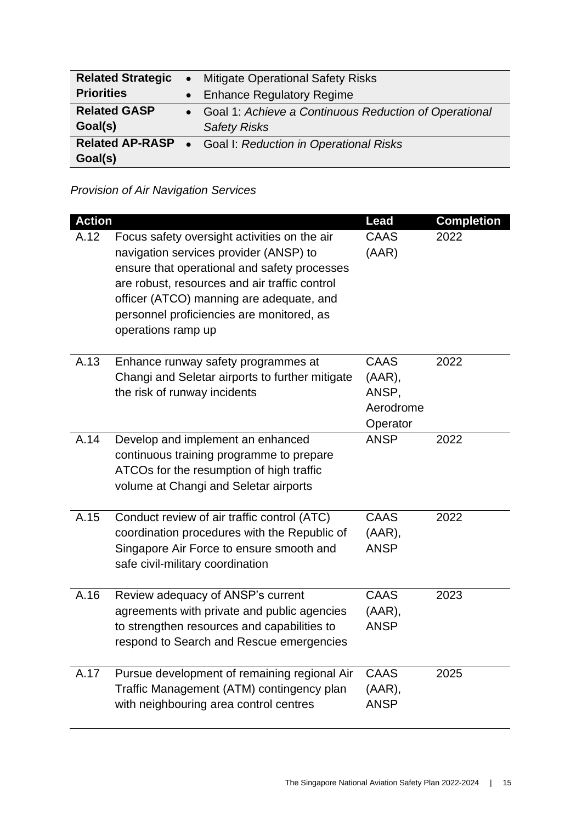| <b>Related Strategic</b> | $\bullet$ | <b>Mitigate Operational Safety Risks</b>                |
|--------------------------|-----------|---------------------------------------------------------|
| <b>Priorities</b>        |           | • Enhance Regulatory Regime                             |
| <b>Related GASP</b>      |           | • Goal 1: Achieve a Continuous Reduction of Operational |
| Goal(s)                  |           | <b>Safety Risks</b>                                     |
| <b>Related AP-RASP</b>   | $\bullet$ | <b>Goal I: Reduction in Operational Risks</b>           |
| Goal(s)                  |           |                                                         |

*Provision of Air Navigation Services*

| <b>Action</b><br>A.12 | Focus safety oversight activities on the air<br>navigation services provider (ANSP) to<br>ensure that operational and safety processes<br>are robust, resources and air traffic control<br>officer (ATCO) manning are adequate, and<br>personnel proficiencies are monitored, as<br>operations ramp up | Lead<br><b>CAAS</b><br>(AAR)                            | <b>Completion</b><br>2022 |
|-----------------------|--------------------------------------------------------------------------------------------------------------------------------------------------------------------------------------------------------------------------------------------------------------------------------------------------------|---------------------------------------------------------|---------------------------|
| A.13                  | Enhance runway safety programmes at<br>Changi and Seletar airports to further mitigate<br>the risk of runway incidents                                                                                                                                                                                 | <b>CAAS</b><br>(AAR),<br>ANSP,<br>Aerodrome<br>Operator | 2022                      |
| A.14                  | Develop and implement an enhanced<br>continuous training programme to prepare<br>ATCOs for the resumption of high traffic<br>volume at Changi and Seletar airports                                                                                                                                     | <b>ANSP</b>                                             | 2022                      |
| A.15                  | Conduct review of air traffic control (ATC)<br>coordination procedures with the Republic of<br>Singapore Air Force to ensure smooth and<br>safe civil-military coordination                                                                                                                            | <b>CAAS</b><br>(AAR),<br><b>ANSP</b>                    | 2022                      |
| A.16                  | Review adequacy of ANSP's current<br>agreements with private and public agencies<br>to strengthen resources and capabilities to<br>respond to Search and Rescue emergencies                                                                                                                            | <b>CAAS</b><br>(AAR),<br><b>ANSP</b>                    | 2023                      |
| A.17                  | Pursue development of remaining regional Air<br>Traffic Management (ATM) contingency plan<br>with neighbouring area control centres                                                                                                                                                                    | CAAS<br>(AAR),<br><b>ANSP</b>                           | 2025                      |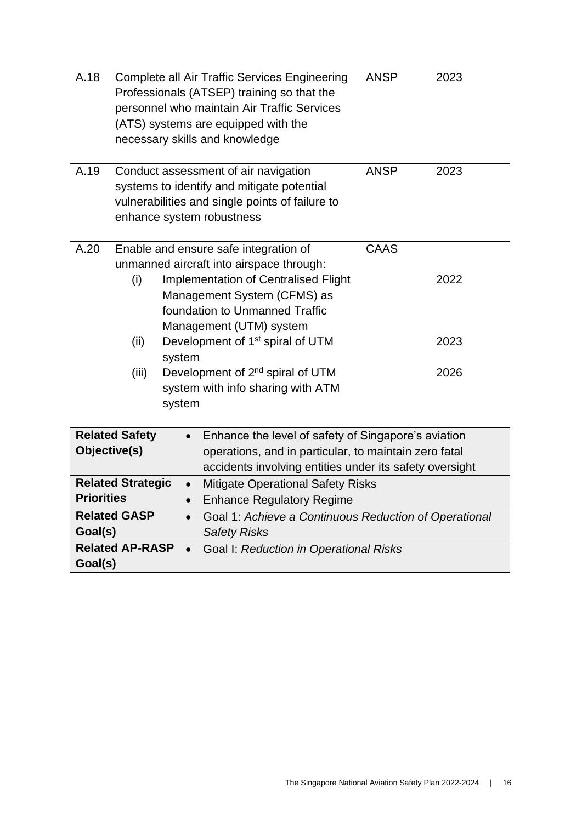| A.18              | <b>ANSP</b><br>Complete all Air Traffic Services Engineering<br>2023<br>Professionals (ATSEP) training so that the<br>personnel who maintain Air Traffic Services<br>(ATS) systems are equipped with the<br>necessary skills and knowledge |           |                                                         |             |      |  |
|-------------------|--------------------------------------------------------------------------------------------------------------------------------------------------------------------------------------------------------------------------------------------|-----------|---------------------------------------------------------|-------------|------|--|
| A.19              |                                                                                                                                                                                                                                            |           | Conduct assessment of air navigation                    | <b>ANSP</b> | 2023 |  |
|                   |                                                                                                                                                                                                                                            |           | systems to identify and mitigate potential              |             |      |  |
|                   |                                                                                                                                                                                                                                            |           | vulnerabilities and single points of failure to         |             |      |  |
|                   |                                                                                                                                                                                                                                            |           | enhance system robustness                               |             |      |  |
| A.20              |                                                                                                                                                                                                                                            |           | Enable and ensure safe integration of                   | <b>CAAS</b> |      |  |
|                   |                                                                                                                                                                                                                                            |           | unmanned aircraft into airspace through:                |             |      |  |
|                   | (i)                                                                                                                                                                                                                                        |           | <b>Implementation of Centralised Flight</b>             |             | 2022 |  |
|                   |                                                                                                                                                                                                                                            |           | Management System (CFMS) as                             |             |      |  |
|                   |                                                                                                                                                                                                                                            |           | foundation to Unmanned Traffic                          |             |      |  |
|                   |                                                                                                                                                                                                                                            |           | Management (UTM) system                                 |             |      |  |
|                   | (ii)                                                                                                                                                                                                                                       |           | Development of 1 <sup>st</sup> spiral of UTM            |             | 2023 |  |
|                   |                                                                                                                                                                                                                                            | system    |                                                         |             |      |  |
|                   | (iii)                                                                                                                                                                                                                                      |           | Development of 2 <sup>nd</sup> spiral of UTM            |             | 2026 |  |
|                   |                                                                                                                                                                                                                                            |           | system with info sharing with ATM                       |             |      |  |
|                   |                                                                                                                                                                                                                                            | system    |                                                         |             |      |  |
|                   | <b>Related Safety</b>                                                                                                                                                                                                                      |           | Enhance the level of safety of Singapore's aviation     |             |      |  |
| Objective(s)      |                                                                                                                                                                                                                                            |           | operations, and in particular, to maintain zero fatal   |             |      |  |
|                   |                                                                                                                                                                                                                                            |           | accidents involving entities under its safety oversight |             |      |  |
|                   | <b>Related Strategic</b>                                                                                                                                                                                                                   | $\bullet$ | <b>Mitigate Operational Safety Risks</b>                |             |      |  |
| <b>Priorities</b> |                                                                                                                                                                                                                                            | $\bullet$ | <b>Enhance Regulatory Regime</b>                        |             |      |  |
|                   | <b>Related GASP</b>                                                                                                                                                                                                                        | $\bullet$ | Goal 1: Achieve a Continuous Reduction of Operational   |             |      |  |
| Goal(s)           |                                                                                                                                                                                                                                            |           | <b>Safety Risks</b>                                     |             |      |  |
|                   | <b>Related AP-RASP</b>                                                                                                                                                                                                                     |           | Goal I: Reduction in Operational Risks                  |             |      |  |
| Goal(s)           |                                                                                                                                                                                                                                            |           |                                                         |             |      |  |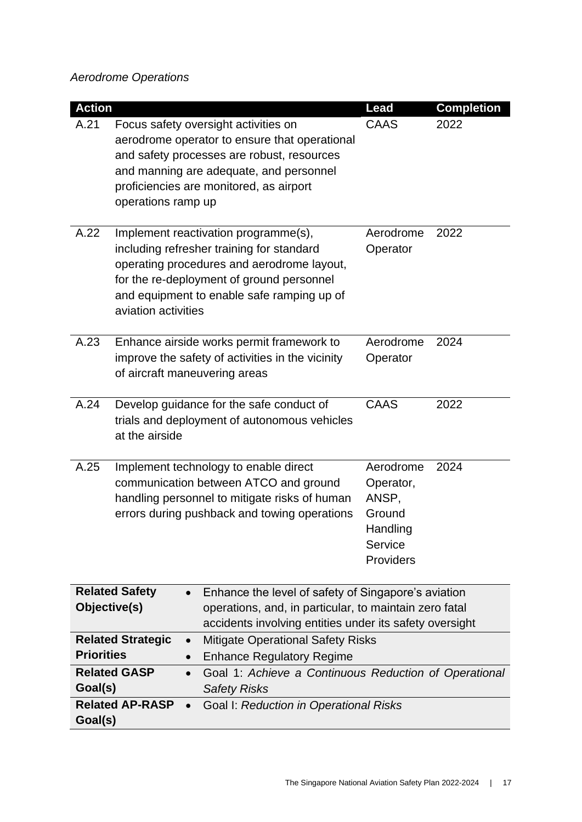## *Aerodrome Operations*

| <b>Action</b>     |                                                                                                                                                                                                                                                   | <b>Lead</b>                                                                   | <b>Completion</b> |  |
|-------------------|---------------------------------------------------------------------------------------------------------------------------------------------------------------------------------------------------------------------------------------------------|-------------------------------------------------------------------------------|-------------------|--|
| A.21              | Focus safety oversight activities on<br>aerodrome operator to ensure that operational<br>and safety processes are robust, resources<br>and manning are adequate, and personnel<br>proficiencies are monitored, as airport<br>operations ramp up   | CAAS                                                                          | 2022              |  |
| A.22              | Implement reactivation programme(s),<br>including refresher training for standard<br>operating procedures and aerodrome layout,<br>for the re-deployment of ground personnel<br>and equipment to enable safe ramping up of<br>aviation activities | Aerodrome<br>Operator                                                         | 2022              |  |
| A.23              | Enhance airside works permit framework to<br>Aerodrome<br>2024<br>improve the safety of activities in the vicinity<br>Operator<br>of aircraft maneuvering areas                                                                                   |                                                                               |                   |  |
| A.24              | Develop guidance for the safe conduct of<br>trials and deployment of autonomous vehicles<br>at the airside                                                                                                                                        | <b>CAAS</b>                                                                   | 2022              |  |
| A.25              | Implement technology to enable direct<br>communication between ATCO and ground<br>handling personnel to mitigate risks of human<br>errors during pushback and towing operations                                                                   | Aerodrome<br>Operator,<br>ANSP,<br>Ground<br>Handling<br>Service<br>Providers | 2024              |  |
| Objective(s)      | <b>Related Safety</b><br>Enhance the level of safety of Singapore's aviation<br>$\bullet$<br>operations, and, in particular, to maintain zero fatal<br>accidents involving entities under its safety oversight                                    |                                                                               |                   |  |
| <b>Priorities</b> | <b>Related Strategic</b><br><b>Mitigate Operational Safety Risks</b><br>$\bullet$<br><b>Enhance Regulatory Regime</b><br>$\bullet$<br><b>Related GASP</b><br>Goal 1: Achieve a Continuous Reduction of Operational<br>$\bullet$                   |                                                                               |                   |  |
| Goal(s)           | <b>Safety Risks</b>                                                                                                                                                                                                                               |                                                                               |                   |  |
| Goal(s)           | <b>Related AP-RASP</b><br>Goal I: Reduction in Operational Risks<br>$\bullet$                                                                                                                                                                     |                                                                               |                   |  |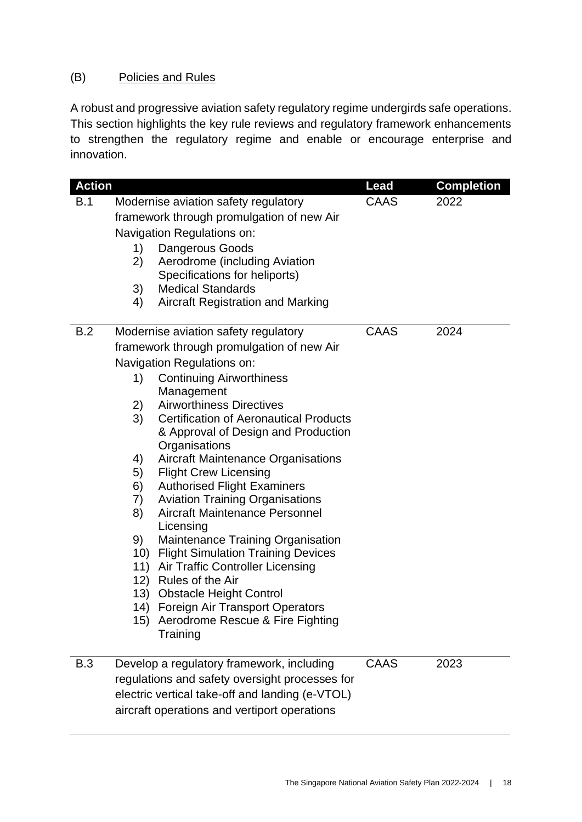#### <span id="page-17-0"></span>(B) Policies and Rules

A robust and progressive aviation safety regulatory regime undergirds safe operations. This section highlights the key rule reviews and regulatory framework enhancements to strengthen the regulatory regime and enable or encourage enterprise and innovation.

| <b>Action</b> |            |                                                                                  | Lead        | <b>Completion</b> |
|---------------|------------|----------------------------------------------------------------------------------|-------------|-------------------|
| B.1           |            | Modernise aviation safety regulatory                                             | CAAS        | 2022              |
|               |            | framework through promulgation of new Air                                        |             |                   |
|               |            | Navigation Regulations on:                                                       |             |                   |
|               | 1)         | Dangerous Goods                                                                  |             |                   |
|               | 2)         | Aerodrome (including Aviation                                                    |             |                   |
|               |            | Specifications for heliports)                                                    |             |                   |
|               | 3)<br>4)   | <b>Medical Standards</b><br><b>Aircraft Registration and Marking</b>             |             |                   |
|               |            |                                                                                  |             |                   |
| B.2           |            | Modernise aviation safety regulatory                                             | <b>CAAS</b> | 2024              |
|               |            | framework through promulgation of new Air                                        |             |                   |
|               |            | Navigation Regulations on:                                                       |             |                   |
|               | 1)         | <b>Continuing Airworthiness</b>                                                  |             |                   |
|               |            | Management                                                                       |             |                   |
|               | 2)<br>3)   | <b>Airworthiness Directives</b><br><b>Certification of Aeronautical Products</b> |             |                   |
|               |            | & Approval of Design and Production                                              |             |                   |
|               |            | Organisations                                                                    |             |                   |
|               | 4)         | <b>Aircraft Maintenance Organisations</b>                                        |             |                   |
|               | 5)         | <b>Flight Crew Licensing</b>                                                     |             |                   |
|               | 6)         | <b>Authorised Flight Examiners</b>                                               |             |                   |
|               | 7)<br>8)   | <b>Aviation Training Organisations</b><br>Aircraft Maintenance Personnel         |             |                   |
|               |            | Licensing                                                                        |             |                   |
|               | 9)         | <b>Maintenance Training Organisation</b>                                         |             |                   |
|               | 10)        | <b>Flight Simulation Training Devices</b>                                        |             |                   |
|               | 11)        | Air Traffic Controller Licensing                                                 |             |                   |
|               | 12)        | Rules of the Air                                                                 |             |                   |
|               | 13)        | <b>Obstacle Height Control</b>                                                   |             |                   |
|               | 14)<br>15) | <b>Foreign Air Transport Operators</b><br>Aerodrome Rescue & Fire Fighting       |             |                   |
|               |            | Training                                                                         |             |                   |
|               |            |                                                                                  |             |                   |
| <b>B.3</b>    |            | Develop a regulatory framework, including                                        | CAAS        | 2023              |
|               |            | regulations and safety oversight processes for                                   |             |                   |
|               |            | electric vertical take-off and landing (e-VTOL)                                  |             |                   |
|               |            | aircraft operations and vertiport operations                                     |             |                   |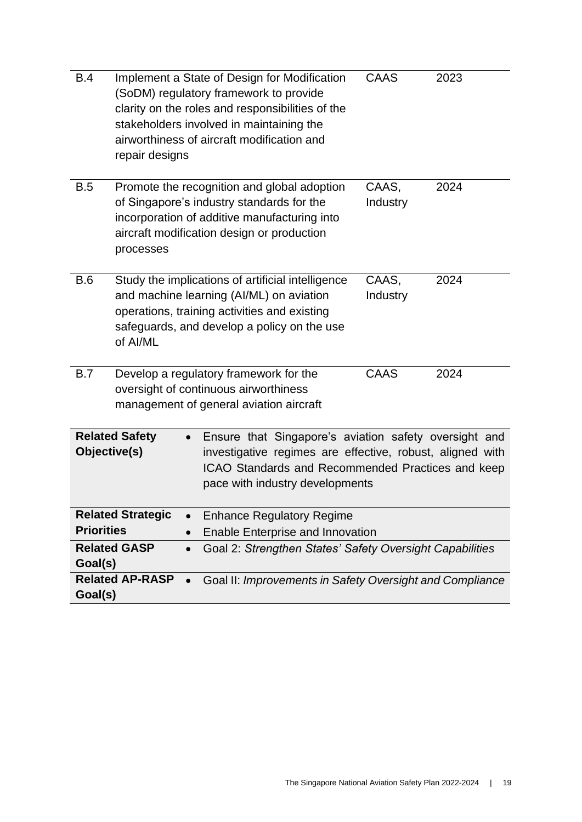| <b>B.4</b>        | repair designs           | Implement a State of Design for Modification<br>(SoDM) regulatory framework to provide<br>clarity on the roles and responsibilities of the<br>stakeholders involved in maintaining the<br>airworthiness of aircraft modification and | <b>CAAS</b>       | 2023 |
|-------------------|--------------------------|--------------------------------------------------------------------------------------------------------------------------------------------------------------------------------------------------------------------------------------|-------------------|------|
| B.5               | processes                | Promote the recognition and global adoption<br>of Singapore's industry standards for the<br>incorporation of additive manufacturing into<br>aircraft modification design or production                                               | CAAS,<br>Industry | 2024 |
| B.6               | of AI/ML                 | Study the implications of artificial intelligence<br>and machine learning (Al/ML) on aviation<br>operations, training activities and existing<br>safeguards, and develop a policy on the use                                         | CAAS,<br>Industry | 2024 |
| <b>B.7</b>        |                          | Develop a regulatory framework for the<br>oversight of continuous airworthiness<br>management of general aviation aircraft                                                                                                           | <b>CAAS</b>       | 2024 |
| Objective(s)      | <b>Related Safety</b>    | Ensure that Singapore's aviation safety oversight and<br>$\bullet$<br>investigative regimes are effective, robust, aligned with<br>ICAO Standards and Recommended Practices and keep<br>pace with industry developments              |                   |      |
|                   | <b>Related Strategic</b> | <b>Enhance Regulatory Regime</b>                                                                                                                                                                                                     |                   |      |
| <b>Priorities</b> |                          | <b>Enable Enterprise and Innovation</b>                                                                                                                                                                                              |                   |      |
| Goal(s)           | <b>Related GASP</b>      | Goal 2: Strengthen States' Safety Oversight Capabilities<br>$\bullet$                                                                                                                                                                |                   |      |
| Goal(s)           | <b>Related AP-RASP</b>   | Goal II: Improvements in Safety Oversight and Compliance                                                                                                                                                                             |                   |      |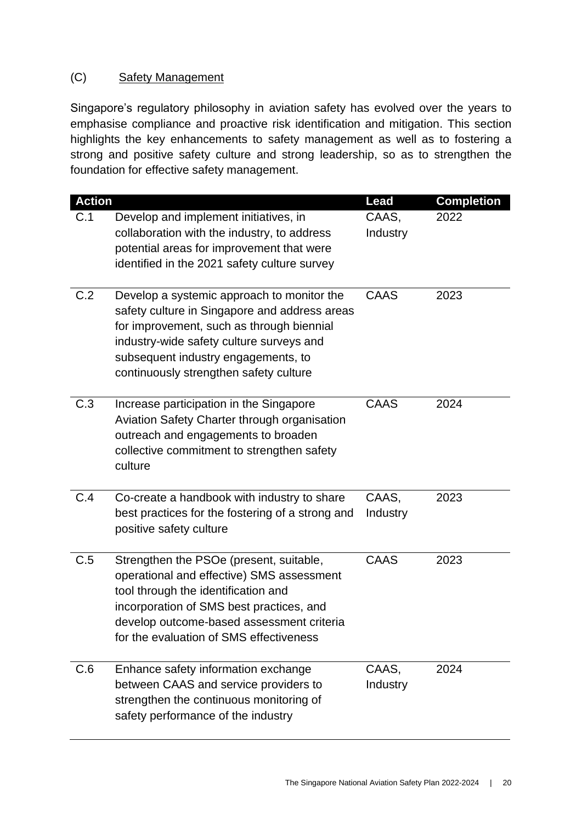#### <span id="page-19-0"></span>(C) Safety Management

Singapore's regulatory philosophy in aviation safety has evolved over the years to emphasise compliance and proactive risk identification and mitigation. This section highlights the key enhancements to safety management as well as to fostering a strong and positive safety culture and strong leadership, so as to strengthen the foundation for effective safety management.

| <b>Action</b><br>C.1 | Develop and implement initiatives, in<br>collaboration with the industry, to address<br>potential areas for improvement that were<br>identified in the 2021 safety culture survey                                                                                     | <b>Lead</b><br>CAAS,<br>Industry | <b>Completion</b><br>2022 |
|----------------------|-----------------------------------------------------------------------------------------------------------------------------------------------------------------------------------------------------------------------------------------------------------------------|----------------------------------|---------------------------|
| C.2                  | Develop a systemic approach to monitor the<br>safety culture in Singapore and address areas<br>for improvement, such as through biennial<br>industry-wide safety culture surveys and<br>subsequent industry engagements, to<br>continuously strengthen safety culture | <b>CAAS</b>                      | 2023                      |
| C.3                  | Increase participation in the Singapore<br>Aviation Safety Charter through organisation<br>outreach and engagements to broaden<br>collective commitment to strengthen safety<br>culture                                                                               | <b>CAAS</b>                      | 2024                      |
| C.4                  | Co-create a handbook with industry to share<br>best practices for the fostering of a strong and<br>positive safety culture                                                                                                                                            | CAAS,<br>Industry                | 2023                      |
| C.5                  | Strengthen the PSOe (present, suitable,<br>operational and effective) SMS assessment<br>tool through the identification and<br>incorporation of SMS best practices, and<br>develop outcome-based assessment criteria<br>for the evaluation of SMS effectiveness       | <b>CAAS</b>                      | 2023                      |
| C.6                  | Enhance safety information exchange<br>between CAAS and service providers to<br>strengthen the continuous monitoring of<br>safety performance of the industry                                                                                                         | CAAS,<br>Industry                | 2024                      |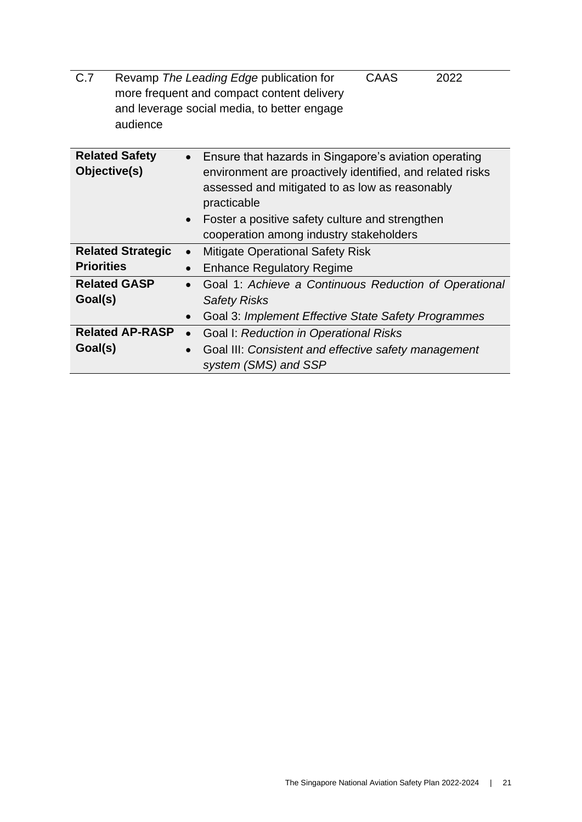| C.7 | Revamp The Leading Edge publication for     | CAAS | 2022 |  |
|-----|---------------------------------------------|------|------|--|
|     | more frequent and compact content delivery  |      |      |  |
|     | and leverage social media, to better engage |      |      |  |
|     | audience                                    |      |      |  |

| <b>Related Safety</b><br>Objective(s) | $\bullet$<br>$\bullet$ | Ensure that hazards in Singapore's aviation operating<br>environment are proactively identified, and related risks<br>assessed and mitigated to as low as reasonably<br>practicable<br>Foster a positive safety culture and strengthen<br>cooperation among industry stakeholders |
|---------------------------------------|------------------------|-----------------------------------------------------------------------------------------------------------------------------------------------------------------------------------------------------------------------------------------------------------------------------------|
| <b>Related Strategic</b>              |                        | <b>Mitigate Operational Safety Risk</b>                                                                                                                                                                                                                                           |
| <b>Priorities</b>                     |                        | <b>Enhance Regulatory Regime</b>                                                                                                                                                                                                                                                  |
| <b>Related GASP</b>                   |                        | Goal 1: Achieve a Continuous Reduction of Operational                                                                                                                                                                                                                             |
| Goal(s)                               |                        | <b>Safety Risks</b>                                                                                                                                                                                                                                                               |
|                                       |                        | Goal 3: Implement Effective State Safety Programmes                                                                                                                                                                                                                               |
| <b>Related AP-RASP</b>                | $\bullet$              | Goal I: Reduction in Operational Risks                                                                                                                                                                                                                                            |
| Goal(s)                               | $\bullet$              | Goal III: Consistent and effective safety management                                                                                                                                                                                                                              |
|                                       |                        | system (SMS) and SSP                                                                                                                                                                                                                                                              |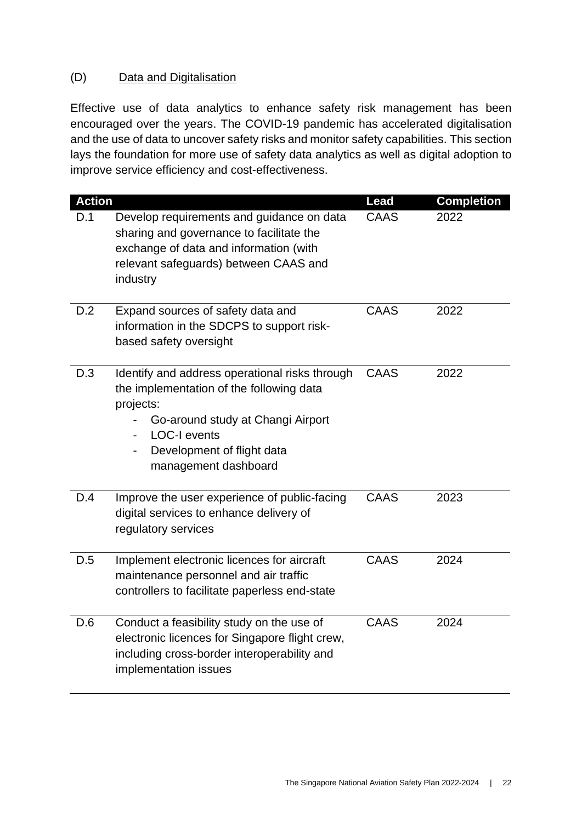#### <span id="page-21-0"></span>(D) Data and Digitalisation

Effective use of data analytics to enhance safety risk management has been encouraged over the years. The COVID-19 pandemic has accelerated digitalisation and the use of data to uncover safety risks and monitor safety capabilities. This section lays the foundation for more use of safety data analytics as well as digital adoption to improve service efficiency and cost-effectiveness.

| <b>Action</b> |                                                                                                                                                                                                                           | Lead        | <b>Completion</b> |
|---------------|---------------------------------------------------------------------------------------------------------------------------------------------------------------------------------------------------------------------------|-------------|-------------------|
| D.1           | Develop requirements and guidance on data<br>sharing and governance to facilitate the<br>exchange of data and information (with<br>relevant safeguards) between CAAS and<br>industry                                      | CAAS        | 2022              |
| D.2           | Expand sources of safety data and<br>information in the SDCPS to support risk-<br>based safety oversight                                                                                                                  | CAAS        | 2022              |
| D.3           | Identify and address operational risks through<br>the implementation of the following data<br>projects:<br>Go-around study at Changi Airport<br><b>LOC-I events</b><br>Development of flight data<br>management dashboard | CAAS        | 2022              |
| D.4           | Improve the user experience of public-facing<br>digital services to enhance delivery of<br>regulatory services                                                                                                            | CAAS        | 2023              |
| D.5           | Implement electronic licences for aircraft<br>maintenance personnel and air traffic<br>controllers to facilitate paperless end-state                                                                                      | CAAS        | 2024              |
| D.6           | Conduct a feasibility study on the use of<br>electronic licences for Singapore flight crew,<br>including cross-border interoperability and<br>implementation issues                                                       | <b>CAAS</b> | 2024              |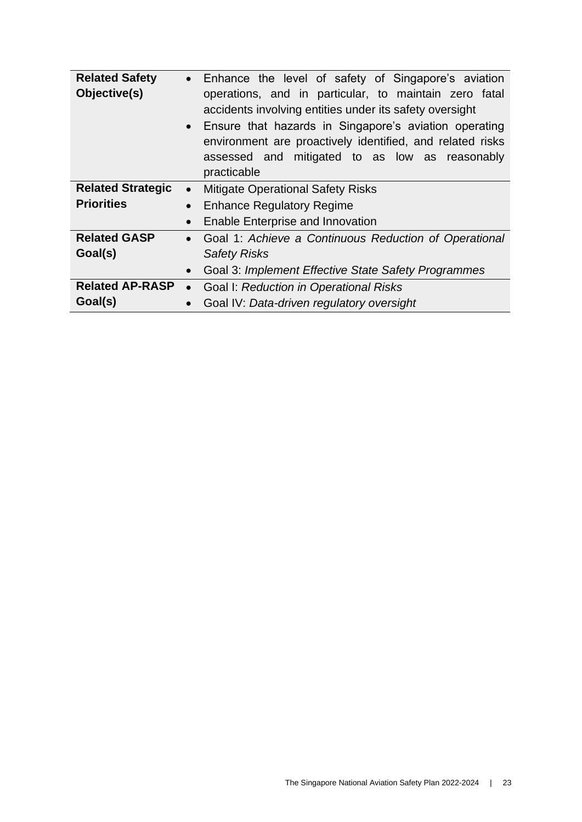| <b>Related Safety</b>    |           | • Enhance the level of safety of Singapore's aviation                                                                                                                                                                                    |  |
|--------------------------|-----------|------------------------------------------------------------------------------------------------------------------------------------------------------------------------------------------------------------------------------------------|--|
| Objective(s)             |           | operations, and in particular, to maintain zero fatal<br>accidents involving entities under its safety oversight<br>• Ensure that hazards in Singapore's aviation operating<br>environment are proactively identified, and related risks |  |
|                          |           | assessed and mitigated to as low as reasonably<br>practicable                                                                                                                                                                            |  |
| <b>Related Strategic</b> | $\bullet$ | <b>Mitigate Operational Safety Risks</b>                                                                                                                                                                                                 |  |
| <b>Priorities</b>        | $\bullet$ | <b>Enhance Regulatory Regime</b>                                                                                                                                                                                                         |  |
|                          | $\bullet$ | <b>Enable Enterprise and Innovation</b>                                                                                                                                                                                                  |  |
| <b>Related GASP</b>      | $\bullet$ | Goal 1: Achieve a Continuous Reduction of Operational                                                                                                                                                                                    |  |
| Goal(s)                  |           | <b>Safety Risks</b>                                                                                                                                                                                                                      |  |
|                          | $\bullet$ | Goal 3: Implement Effective State Safety Programmes                                                                                                                                                                                      |  |
| <b>Related AP-RASP</b>   | $\bullet$ | Goal I: Reduction in Operational Risks                                                                                                                                                                                                   |  |
| Goal(s)                  |           | Goal IV: Data-driven regulatory oversight                                                                                                                                                                                                |  |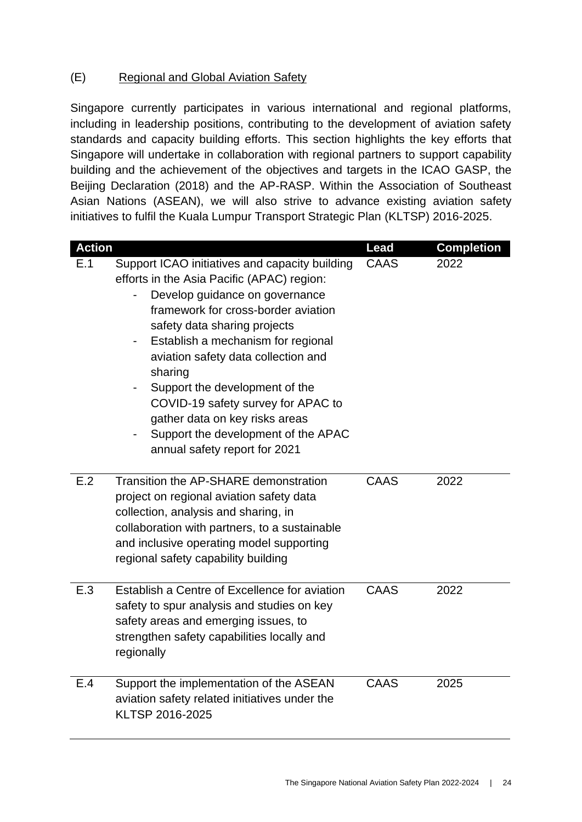### <span id="page-23-0"></span>(E) Regional and Global Aviation Safety

Singapore currently participates in various international and regional platforms, including in leadership positions, contributing to the development of aviation safety standards and capacity building efforts. This section highlights the key efforts that Singapore will undertake in collaboration with regional partners to support capability building and the achievement of the objectives and targets in the ICAO GASP, the Beijing Declaration (2018) and the AP-RASP. Within the Association of Southeast Asian Nations (ASEAN), we will also strive to advance existing aviation safety initiatives to fulfil the Kuala Lumpur Transport Strategic Plan (KLTSP) 2016-2025.

| <b>Action</b> |                                                                                                                                                                                                                                                                                                                                                                                                                                                                                 | <b>Lead</b> | <b>Completion</b> |
|---------------|---------------------------------------------------------------------------------------------------------------------------------------------------------------------------------------------------------------------------------------------------------------------------------------------------------------------------------------------------------------------------------------------------------------------------------------------------------------------------------|-------------|-------------------|
| E.1           | Support ICAO initiatives and capacity building<br>efforts in the Asia Pacific (APAC) region:<br>Develop guidance on governance<br>framework for cross-border aviation<br>safety data sharing projects<br>Establish a mechanism for regional<br>aviation safety data collection and<br>sharing<br>Support the development of the<br>COVID-19 safety survey for APAC to<br>gather data on key risks areas<br>Support the development of the APAC<br>annual safety report for 2021 | <b>CAAS</b> | 2022              |
| E.2           | Transition the AP-SHARE demonstration<br>project on regional aviation safety data<br>collection, analysis and sharing, in<br>collaboration with partners, to a sustainable<br>and inclusive operating model supporting<br>regional safety capability building                                                                                                                                                                                                                   | CAAS        | 2022              |
| E.3           | Establish a Centre of Excellence for aviation<br>safety to spur analysis and studies on key<br>safety areas and emerging issues, to<br>strengthen safety capabilities locally and<br>regionally                                                                                                                                                                                                                                                                                 | CAAS        | 2022              |
| E.4           | Support the implementation of the ASEAN<br>aviation safety related initiatives under the<br>KLTSP 2016-2025                                                                                                                                                                                                                                                                                                                                                                     | <b>CAAS</b> | 2025              |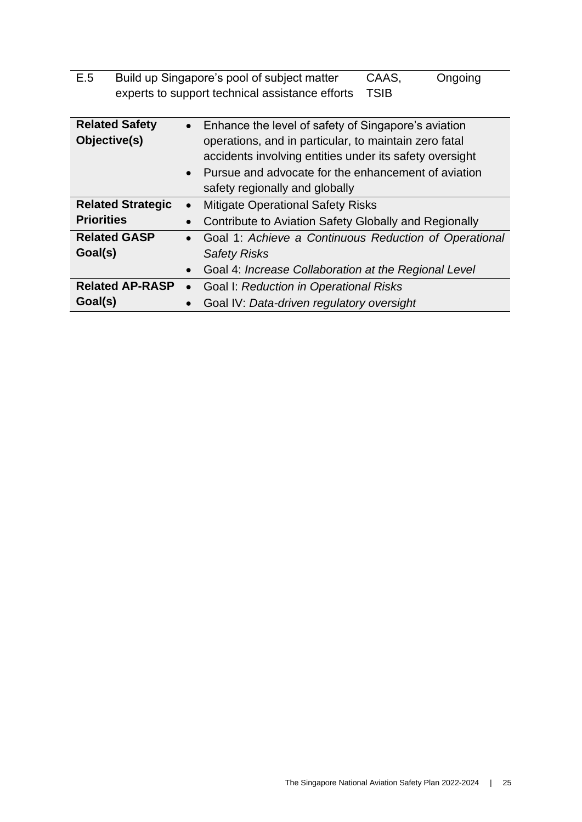E.5 Build up Singapore's pool of subject matter experts to support technical assistance efforts CAAS, TSIB **Ongoing** 

| <b>Related Safety</b><br>Objective(s) | $\bullet$<br>$\bullet$ | Enhance the level of safety of Singapore's aviation<br>operations, and in particular, to maintain zero fatal<br>accidents involving entities under its safety oversight<br>Pursue and advocate for the enhancement of aviation<br>safety regionally and globally |
|---------------------------------------|------------------------|------------------------------------------------------------------------------------------------------------------------------------------------------------------------------------------------------------------------------------------------------------------|
| <b>Related Strategic</b>              |                        | <b>Mitigate Operational Safety Risks</b>                                                                                                                                                                                                                         |
| <b>Priorities</b>                     |                        | Contribute to Aviation Safety Globally and Regionally                                                                                                                                                                                                            |
| <b>Related GASP</b>                   | $\bullet$              | Goal 1: Achieve a Continuous Reduction of Operational                                                                                                                                                                                                            |
| Goal(s)                               |                        | <b>Safety Risks</b>                                                                                                                                                                                                                                              |
|                                       | $\bullet$              | Goal 4: Increase Collaboration at the Regional Level                                                                                                                                                                                                             |
| <b>Related AP-RASP</b>                | $\bullet$              | Goal I: Reduction in Operational Risks                                                                                                                                                                                                                           |
| Goal(s)                               |                        | Goal IV: Data-driven regulatory oversight                                                                                                                                                                                                                        |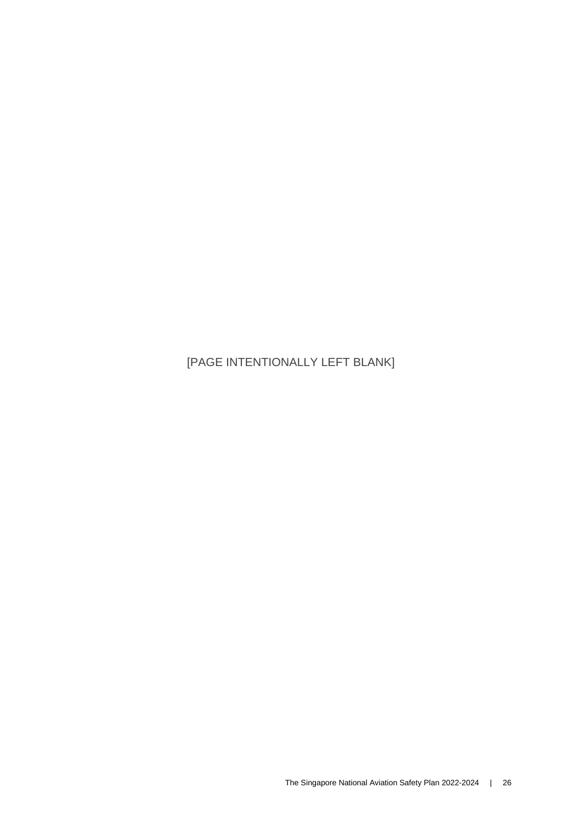[PAGE INTENTIONALLY LEFT BLANK]